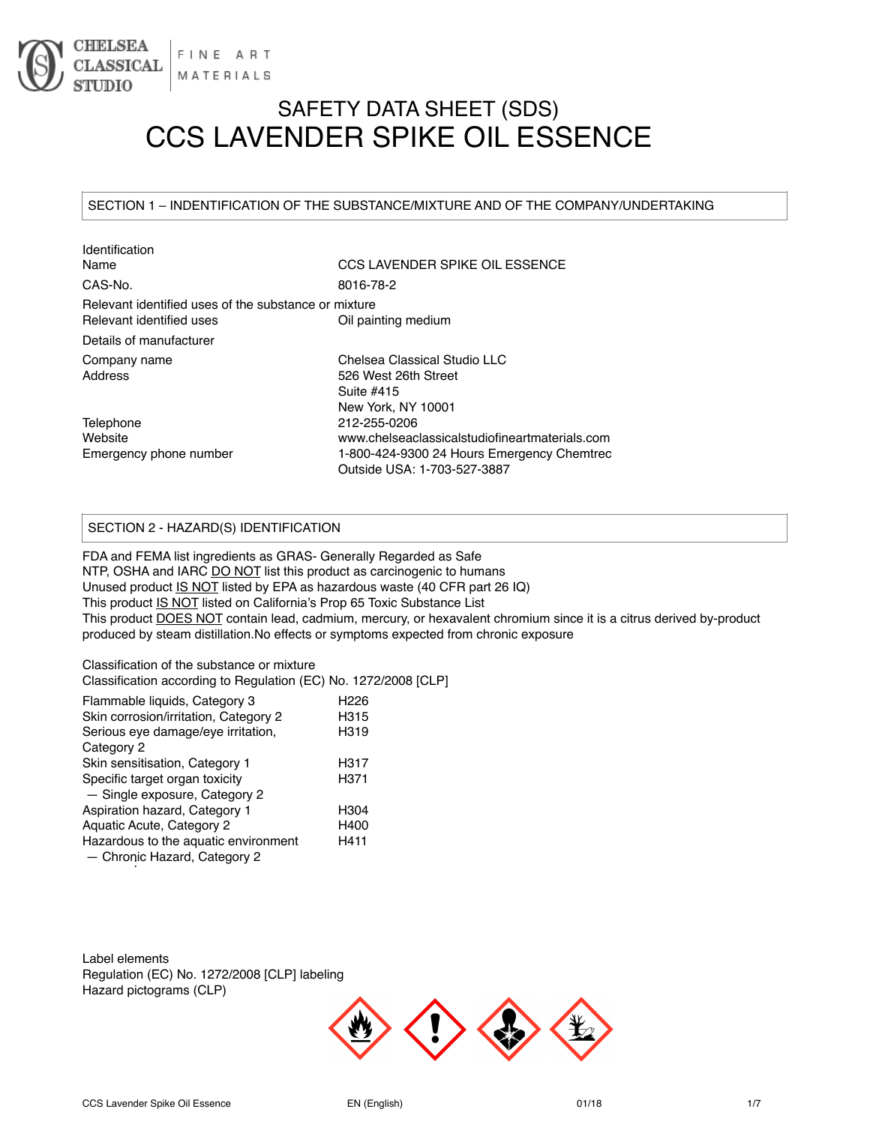

# SAFETY DATA SHEET (SDS) CCS LAVENDER SPIKE OIL ESSENCE

# SECTION 1 – INDENTIFICATION OF THE SUBSTANCE/MIXTURE AND OF THE COMPANY/UNDERTAKING

| Identification                                                                   |                                                                           |
|----------------------------------------------------------------------------------|---------------------------------------------------------------------------|
| Name                                                                             | CCS LAVENDER SPIKE OIL ESSENCE                                            |
| CAS-No.                                                                          | 8016-78-2                                                                 |
| Relevant identified uses of the substance or mixture<br>Relevant identified uses | Oil painting medium                                                       |
| Details of manufacturer                                                          |                                                                           |
|                                                                                  |                                                                           |
| Company name                                                                     | Chelsea Classical Studio LLC                                              |
| Address                                                                          | 526 West 26th Street                                                      |
|                                                                                  | Suite #415                                                                |
|                                                                                  | New York, NY 10001                                                        |
| Telephone                                                                        | 212-255-0206                                                              |
| Website                                                                          | www.chelseaclassicalstudiofineartmaterials.com                            |
| Emergency phone number                                                           | 1-800-424-9300 24 Hours Emergency Chemtrec<br>Outside USA: 1-703-527-3887 |
|                                                                                  |                                                                           |

# SECTION 2 - HAZARD(S) IDENTIFICATION

FDA and FEMA list ingredients as GRAS- Generally Regarded as Safe NTP, OSHA and IARC DO NOT list this product as carcinogenic to humans Unused product IS NOT listed by EPA as hazardous waste (40 CFR part 26 IQ) This product IS NOT listed on California's Prop 65 Toxic Substance List This product DOES NOT contain lead, cadmium, mercury, or hexavalent chromium since it is a citrus derived by-product produced by steam distillation.No effects or symptoms expected from chronic exposure

Classification of the substance or mixture Classification according to Regulation (EC) No. 1272/2008 [CLP]

| Flammable liquids, Category 3         | H <sub>226</sub> |
|---------------------------------------|------------------|
| Skin corrosion/irritation, Category 2 | H315             |
| Serious eye damage/eye irritation,    | H319             |
| Category 2                            |                  |
| Skin sensitisation, Category 1        | H317             |
| Specific target organ toxicity        | H <sub>371</sub> |
| - Single exposure, Category 2         |                  |
| Aspiration hazard, Category 1         | H <sub>304</sub> |
| Aquatic Acute, Category 2             | H400             |
| Hazardous to the aquatic environment  | H411             |
| - Chronic Hazard, Category 2          |                  |
|                                       |                  |

Label elements Regulation (EC) No. 1272/2008 [CLP] labeling Hazard pictograms (CLP)

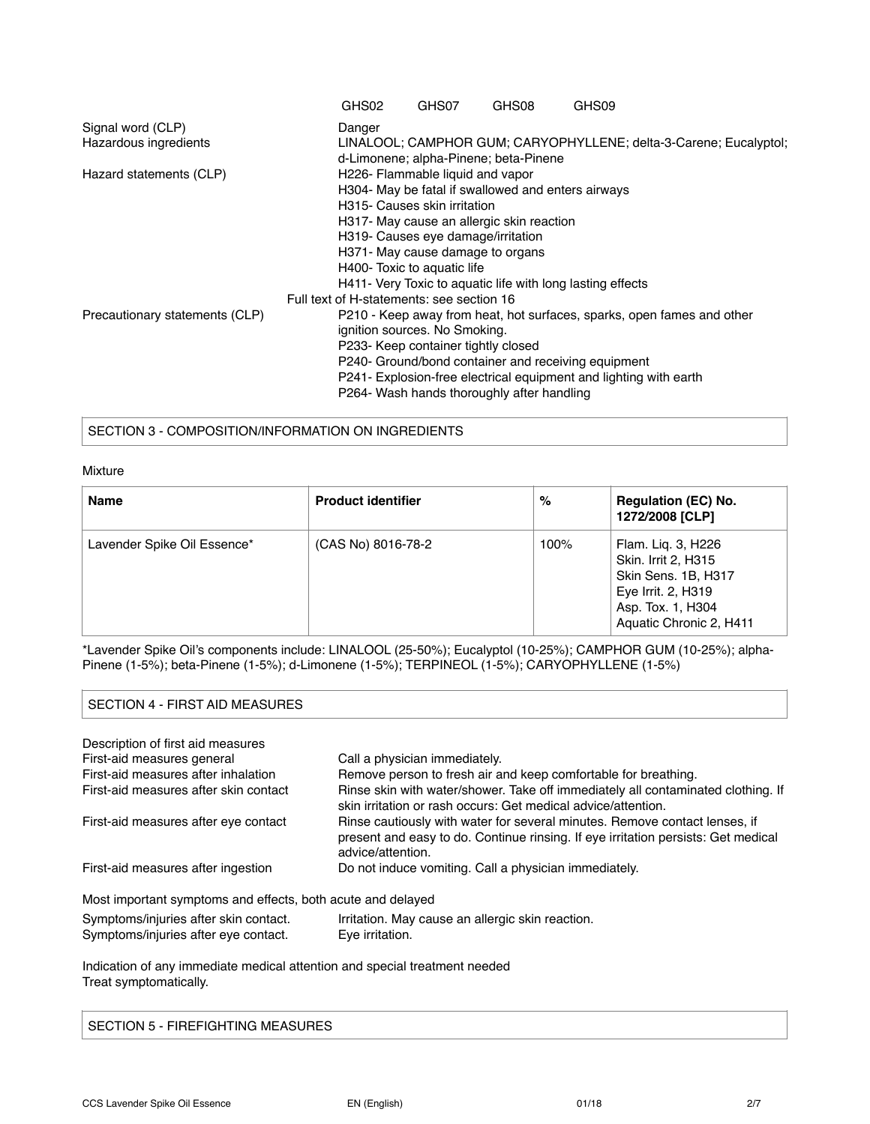|                                | GHS02                                     | GHS07                               | GHS08                                              | GHS09                                                                  |
|--------------------------------|-------------------------------------------|-------------------------------------|----------------------------------------------------|------------------------------------------------------------------------|
| Signal word (CLP)              | Danger                                    |                                     |                                                    |                                                                        |
| Hazardous ingredients          |                                           |                                     |                                                    | LINALOOL; CAMPHOR GUM; CARYOPHYLLENE; delta-3-Carene; Eucalyptol;      |
|                                |                                           |                                     | d-Limonene; alpha-Pinene; beta-Pinene              |                                                                        |
| Hazard statements (CLP)        |                                           | H226- Flammable liquid and vapor    |                                                    |                                                                        |
|                                |                                           |                                     | H304- May be fatal if swallowed and enters airways |                                                                        |
|                                |                                           | H315- Causes skin irritation        |                                                    |                                                                        |
|                                |                                           |                                     | H317- May cause an allergic skin reaction          |                                                                        |
|                                |                                           | H319- Causes eye damage/irritation  |                                                    |                                                                        |
|                                |                                           | H371- May cause damage to organs    |                                                    |                                                                        |
|                                |                                           | H400- Toxic to aquatic life         |                                                    |                                                                        |
|                                |                                           |                                     |                                                    | H411- Very Toxic to aquatic life with long lasting effects             |
|                                | Full text of H-statements: see section 16 |                                     |                                                    |                                                                        |
| Precautionary statements (CLP) |                                           |                                     |                                                    | P210 - Keep away from heat, hot surfaces, sparks, open fames and other |
|                                |                                           | ignition sources. No Smoking.       |                                                    |                                                                        |
|                                |                                           | P233- Keep container tightly closed |                                                    |                                                                        |
|                                |                                           |                                     |                                                    | P240- Ground/bond container and receiving equipment                    |
|                                |                                           |                                     |                                                    | P241- Explosion-free electrical equipment and lighting with earth      |
|                                |                                           |                                     | P264- Wash hands thoroughly after handling         |                                                                        |

SECTION 3 - COMPOSITION/INFORMATION ON INGREDIENTS

#### Mixture

| <b>Name</b>                 | <b>Product identifier</b> | %    | <b>Regulation (EC) No.</b><br>1272/2008 [CLP]                                                                                          |
|-----------------------------|---------------------------|------|----------------------------------------------------------------------------------------------------------------------------------------|
| Lavender Spike Oil Essence* | (CAS No) 8016-78-2        | 100% | Flam. Lig. 3, H226<br>Skin. Irrit 2, H315<br>Skin Sens. 1B, H317<br>Eye Irrit. 2, H319<br>Asp. Tox. 1, H304<br>Aquatic Chronic 2, H411 |

\*Lavender Spike Oil's components include: LINALOOL (25-50%); Eucalyptol (10-25%); CAMPHOR GUM (10-25%); alpha-Pinene (1-5%); beta-Pinene (1-5%); d-Limonene (1-5%); TERPINEOL (1-5%); CARYOPHYLLENE (1-5%)

# SECTION 4 - FIRST AID MEASURES

| Description of first aid measures                                             |                                                                                                                                                                                      |
|-------------------------------------------------------------------------------|--------------------------------------------------------------------------------------------------------------------------------------------------------------------------------------|
| First-aid measures general                                                    | Call a physician immediately.                                                                                                                                                        |
| First-aid measures after inhalation                                           | Remove person to fresh air and keep comfortable for breathing.                                                                                                                       |
| First-aid measures after skin contact                                         | Rinse skin with water/shower. Take off immediately all contaminated clothing. If<br>skin irritation or rash occurs: Get medical advice/attention.                                    |
| First-aid measures after eye contact                                          | Rinse cautiously with water for several minutes. Remove contact lenses, if<br>present and easy to do. Continue rinsing. If eye irritation persists: Get medical<br>advice/attention. |
| First-aid measures after ingestion                                            | Do not induce vomiting. Call a physician immediately.                                                                                                                                |
| Most important symptoms and effects, both acute and delayed                   |                                                                                                                                                                                      |
| Symptoms/injuries after skin contact.<br>Symptoms/injuries after eye contact. | Irritation. May cause an allergic skin reaction.<br>Eye irritation.                                                                                                                  |

Indication of any immediate medical attention and special treatment needed Treat symptomatically.

SECTION 5 - FIREFIGHTING MEASURES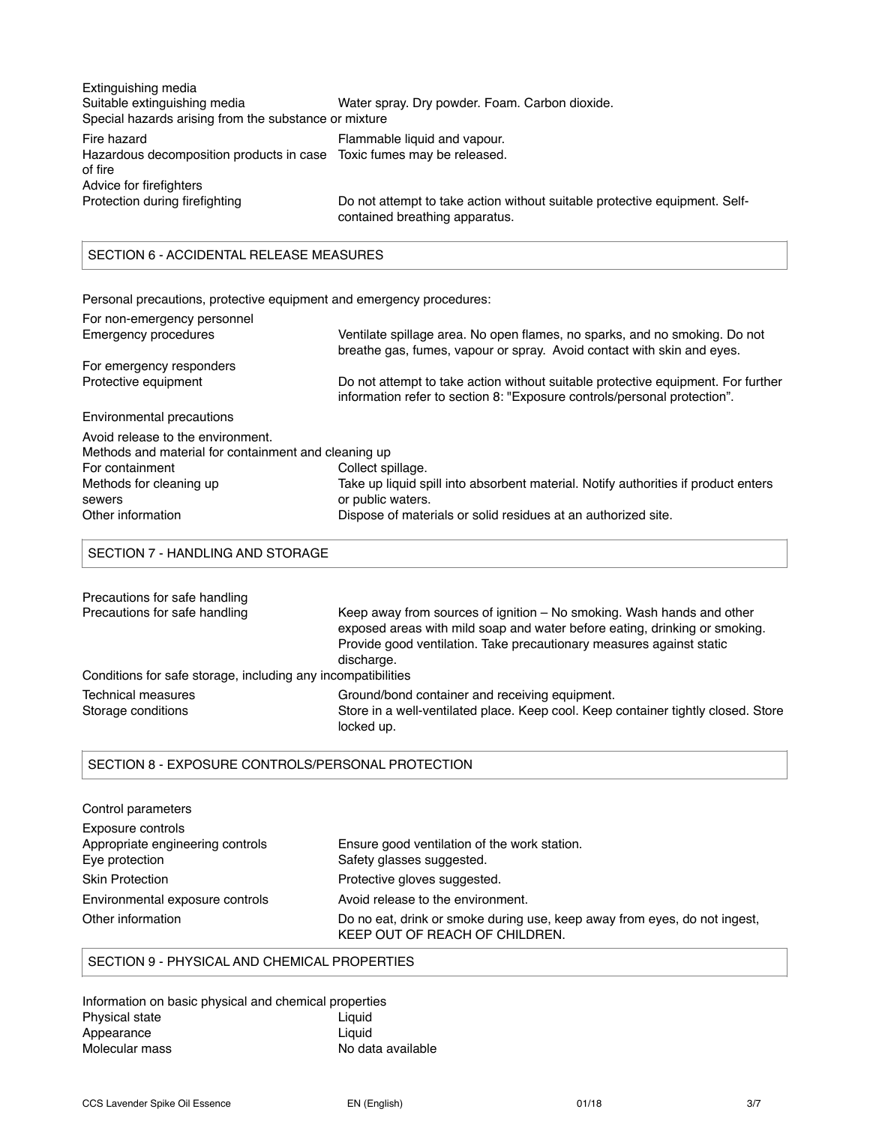| Extinguishing media<br>Suitable extinguishing media<br>Special hazards arising from the substance or mixture               | Water spray. Dry powder. Foam. Carbon dioxide.                                                               |
|----------------------------------------------------------------------------------------------------------------------------|--------------------------------------------------------------------------------------------------------------|
| Fire hazard<br>Hazardous decomposition products in case Toxic fumes may be released.<br>of fire<br>Advice for firefighters | Flammable liquid and vapour.                                                                                 |
| Protection during firefighting                                                                                             | Do not attempt to take action without suitable protective equipment. Self-<br>contained breathing apparatus. |

# SECTION 6 - ACCIDENTAL RELEASE MEASURES

Personal precautions, protective equipment and emergency procedures:

| For non-emergency personnel                          |                                                                                                                                                              |
|------------------------------------------------------|--------------------------------------------------------------------------------------------------------------------------------------------------------------|
| Emergency procedures                                 | Ventilate spillage area. No open flames, no sparks, and no smoking. Do not<br>breathe gas, fumes, vapour or spray. Avoid contact with skin and eyes.         |
| For emergency responders                             |                                                                                                                                                              |
| Protective equipment                                 | Do not attempt to take action without suitable protective equipment. For further<br>information refer to section 8: "Exposure controls/personal protection". |
| Environmental precautions                            |                                                                                                                                                              |
| Avoid release to the environment.                    |                                                                                                                                                              |
| Methods and material for containment and cleaning up |                                                                                                                                                              |
| For containment                                      | Collect spillage.                                                                                                                                            |
| Methods for cleaning up                              | Take up liquid spill into absorbent material. Notify authorities if product enters                                                                           |
| sewers                                               | or public waters.                                                                                                                                            |
| Other information                                    | Dispose of materials or solid residues at an authorized site.                                                                                                |

SECTION 7 - HANDLING AND STORAGE

| Precautions for safe handling                                |                                                                                                                                                                                                                                           |
|--------------------------------------------------------------|-------------------------------------------------------------------------------------------------------------------------------------------------------------------------------------------------------------------------------------------|
| Precautions for safe handling                                | Keep away from sources of ignition – No smoking. Wash hands and other<br>exposed areas with mild soap and water before eating, drinking or smoking.<br>Provide good ventilation. Take precautionary measures against static<br>discharge. |
| Conditions for safe storage, including any incompatibilities |                                                                                                                                                                                                                                           |
| Technical measures<br>Storage conditions                     | Ground/bond container and receiving equipment.<br>Store in a well-ventilated place. Keep cool. Keep container tightly closed. Store<br>locked up.                                                                                         |

# SECTION 8 - EXPOSURE CONTROLS/PERSONAL PROTECTION

| Control parameters               |                                                                                                             |
|----------------------------------|-------------------------------------------------------------------------------------------------------------|
| Exposure controls                |                                                                                                             |
| Appropriate engineering controls | Ensure good ventilation of the work station.                                                                |
| Eve protection                   | Safety glasses suggested.                                                                                   |
| <b>Skin Protection</b>           | Protective gloves suggested.                                                                                |
| Environmental exposure controls  | Avoid release to the environment.                                                                           |
| Other information                | Do no eat, drink or smoke during use, keep away from eyes, do not ingest,<br>KEEP OUT OF REACH OF CHILDREN. |

# SECTION 9 - PHYSICAL AND CHEMICAL PROPERTIES

Information on basic physical and chemical properties Physical state Appearance Liquid<br>
Molecular mass Santa Control and Molecular mass No dat No data available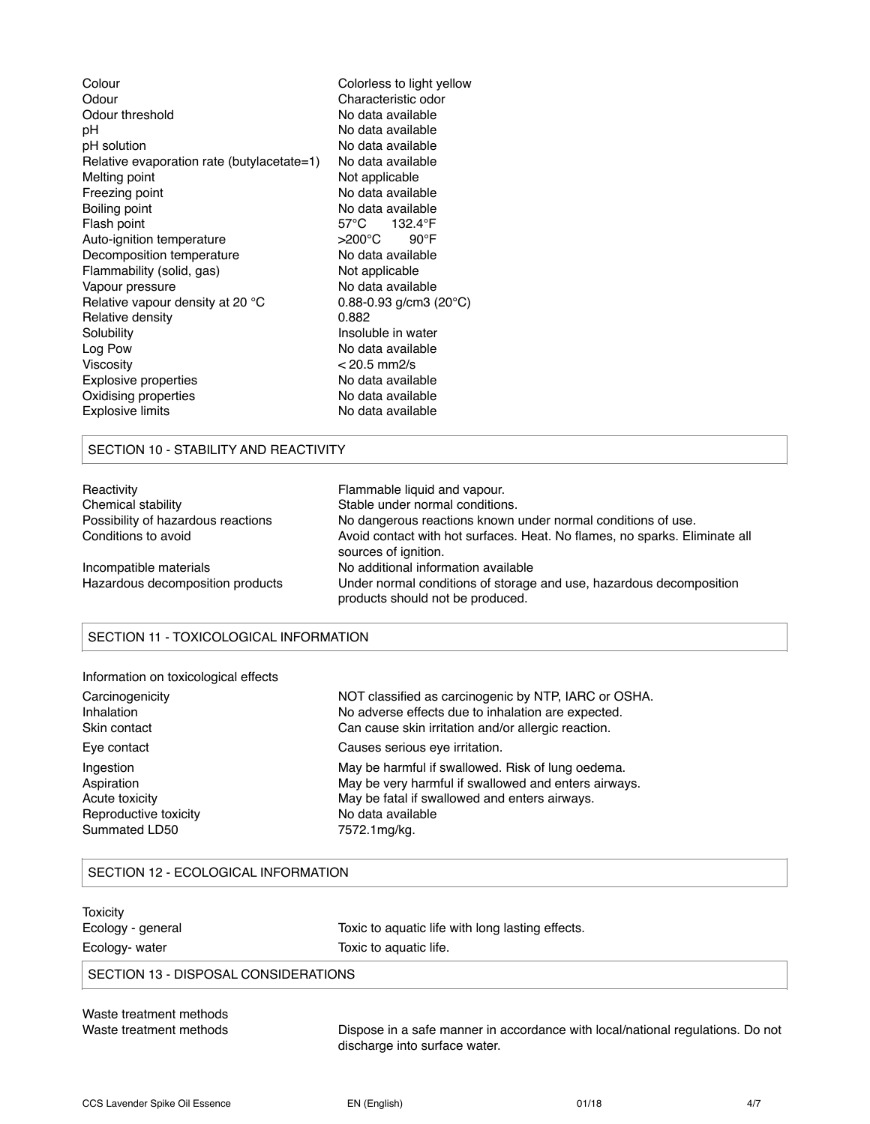| Colour                                     | Colorless to light yellow         |
|--------------------------------------------|-----------------------------------|
| Odour                                      | Characteristic odor               |
| Odour threshold                            | No data available                 |
| рH                                         | No data available                 |
| pH solution                                | No data available                 |
| Relative evaporation rate (butylacetate=1) | No data available                 |
| Melting point                              | Not applicable                    |
| Freezing point                             | No data available                 |
| Boiling point                              | No data available                 |
| Flash point                                | 57°C 132.4°F                      |
| Auto-ignition temperature                  | >200°C<br>$90^{\circ}$ F          |
| Decomposition temperature                  | No data available                 |
| Flammability (solid, gas)                  | Not applicable                    |
| Vapour pressure                            | No data available                 |
| Relative vapour density at 20 °C           | 0.88-0.93 g/cm3 (20 $^{\circ}$ C) |
| Relative density                           | 0.882                             |
| Solubility                                 | Insoluble in water                |
| Log Pow                                    | No data available                 |
| Viscosity                                  | $< 20.5$ mm2/s                    |
| <b>Explosive properties</b>                | No data available                 |
| Oxidising properties                       | No data available                 |
| <b>Explosive limits</b>                    | No data available                 |
|                                            |                                   |

### SECTION 10 - STABILITY AND REACTIVITY

| Reactivity                         | Flammable liquid and vapour.                                                                            |
|------------------------------------|---------------------------------------------------------------------------------------------------------|
| Chemical stability                 | Stable under normal conditions.                                                                         |
| Possibility of hazardous reactions | No dangerous reactions known under normal conditions of use.                                            |
| Conditions to avoid                | Avoid contact with hot surfaces. Heat. No flames, no sparks. Eliminate all<br>sources of ignition.      |
| Incompatible materials             | No additional information available                                                                     |
| Hazardous decomposition products   | Under normal conditions of storage and use, hazardous decomposition<br>products should not be produced. |

# SECTION 11 - TOXICOLOGICAL INFORMATION

| Information on toxicological effects |                                                      |
|--------------------------------------|------------------------------------------------------|
| Carcinogenicity                      | NOT classified as carcinogenic by NTP, IARC or OSHA. |
| Inhalation                           | No adverse effects due to inhalation are expected.   |
| Skin contact                         | Can cause skin irritation and/or allergic reaction.  |
| Eye contact                          | Causes serious eye irritation.                       |
| Ingestion                            | May be harmful if swallowed. Risk of lung oedema.    |
| Aspiration                           | May be very harmful if swallowed and enters airways. |
| Acute toxicity                       | May be fatal if swallowed and enters airways.        |
| Reproductive toxicity                | No data available                                    |
| Summated LD50                        | 7572.1mg/kg.                                         |

# SECTION 12 - ECOLOGICAL INFORMATION

| Toxicity<br>Ecology - general        | Toxic to aquatic life with long lasting effects. |  |
|--------------------------------------|--------------------------------------------------|--|
| Ecology- water                       | Toxic to aquatic life.                           |  |
| SECTION 13 - DISPOSAL CONSIDERATIONS |                                                  |  |
| Waste treatment methods              |                                                  |  |

Waste treatment methods Dispose in a safe manner in accordance with local/national regulations. Do not discharge into surface water.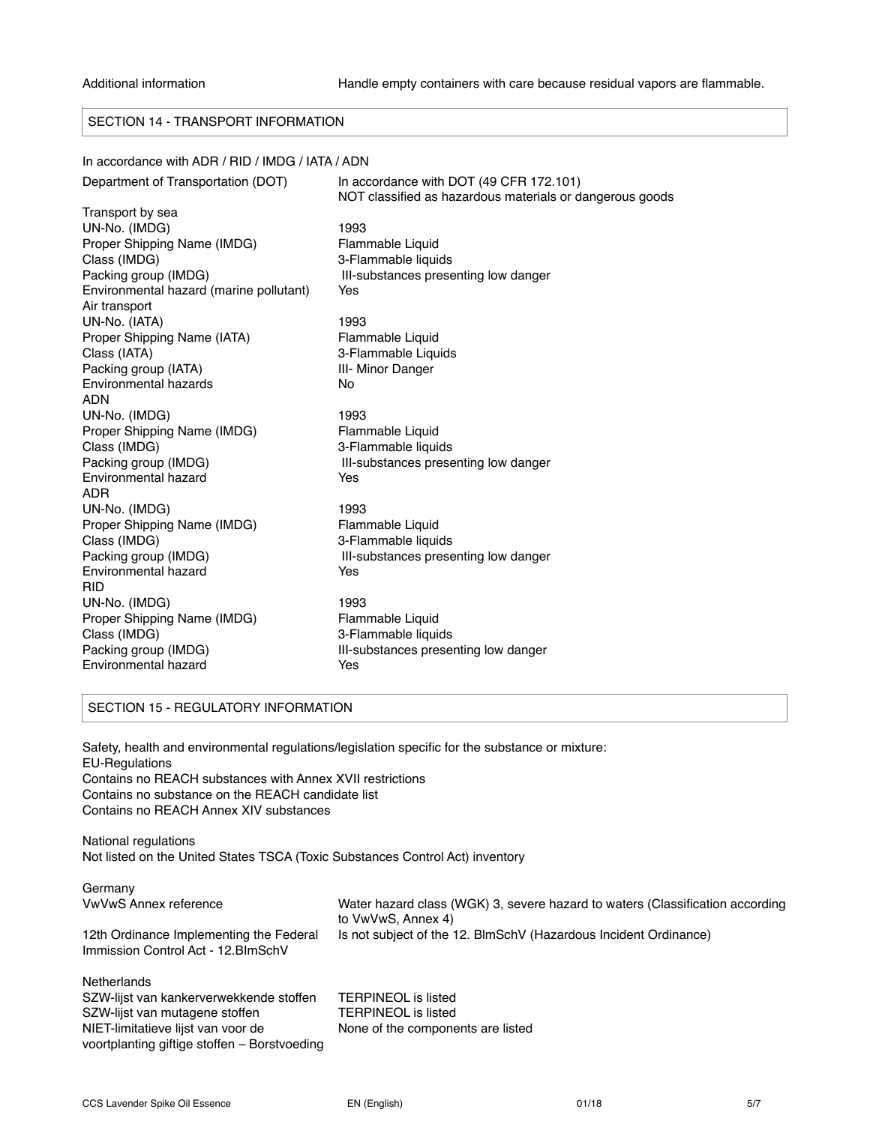# SECTION 14 - TRANSPORT INFORMATION

#### In accordance with ADR / RID / IMDG / IATA / ADN

| Department of Transportation (DOT)      | In accordance with DOT (49 CFR 172.101)<br>NOT classified as hazardous materials or dangerous goods |
|-----------------------------------------|-----------------------------------------------------------------------------------------------------|
| Transport by sea                        |                                                                                                     |
| UN-No. (IMDG)                           | 1993                                                                                                |
| Proper Shipping Name (IMDG)             | Flammable Liquid                                                                                    |
| Class (IMDG)                            | 3-Flammable liquids                                                                                 |
| Packing group (IMDG)                    | III-substances presenting low danger                                                                |
| Environmental hazard (marine pollutant) | Yes                                                                                                 |
| Air transport                           |                                                                                                     |
| UN-No. (IATA)                           | 1993                                                                                                |
| Proper Shipping Name (IATA)             | Flammable Liquid                                                                                    |
| Class (IATA)                            | 3-Flammable Liquids                                                                                 |
| Packing group (IATA)                    | III- Minor Danger                                                                                   |
| Environmental hazards                   | No                                                                                                  |
| <b>ADN</b>                              |                                                                                                     |
| UN-No. (IMDG)                           | 1993                                                                                                |
| Proper Shipping Name (IMDG)             | Flammable Liquid                                                                                    |
| Class (IMDG)                            | 3-Flammable liquids                                                                                 |
| Packing group (IMDG)                    | III-substances presenting low danger                                                                |
| Environmental hazard                    | Yes                                                                                                 |
| ADR                                     |                                                                                                     |
| UN-No. (IMDG)                           | 1993                                                                                                |
| Proper Shipping Name (IMDG)             | Flammable Liquid                                                                                    |
| Class (IMDG)                            | 3-Flammable liquids                                                                                 |
| Packing group (IMDG)                    | III-substances presenting low danger                                                                |
| Environmental hazard                    | Yes                                                                                                 |
| <b>RID</b>                              |                                                                                                     |
| UN-No. (IMDG)                           | 1993                                                                                                |
| Proper Shipping Name (IMDG)             | Flammable Liquid                                                                                    |
| Class (IMDG)                            | 3-Flammable liquids                                                                                 |
| Packing group (IMDG)                    | III-substances presenting low danger                                                                |
| Environmental hazard                    | Yes                                                                                                 |
|                                         |                                                                                                     |

# SECTION 15 - REGULATORY INFORMATION

Safety, health and environmental regulations/legislation specific for the substance or mixture: EU-Regulations Contains no REACH substances with Annex XVII restrictions Contains no substance on the REACH candidate list Contains no REACH Annex XIV substances National regulations Not listed on the United States TSCA (Toxic Substances Control Act) inventory

| Germany                                      |                                                                                                     |
|----------------------------------------------|-----------------------------------------------------------------------------------------------------|
| <b>VwVwS Annex reference</b>                 | Water hazard class (WGK) 3, severe hazard to waters (Classification according<br>to VwVwS, Annex 4) |
| 12th Ordinance Implementing the Federal      | Is not subject of the 12. BlmSchV (Hazardous Incident Ordinance)                                    |
| Immission Control Act - 12. BlmSchV          |                                                                                                     |
| <b>Netherlands</b>                           |                                                                                                     |
| SZW-lijst van kankerverwekkende stoffen      | TERPINEOL is listed                                                                                 |
| SZW-lijst van mutagene stoffen               | <b>TERPINEOL</b> is listed                                                                          |
| NIET-limitatieve lijst van voor de           | None of the components are listed                                                                   |
| voortplanting giftige stoffen – Borstvoeding |                                                                                                     |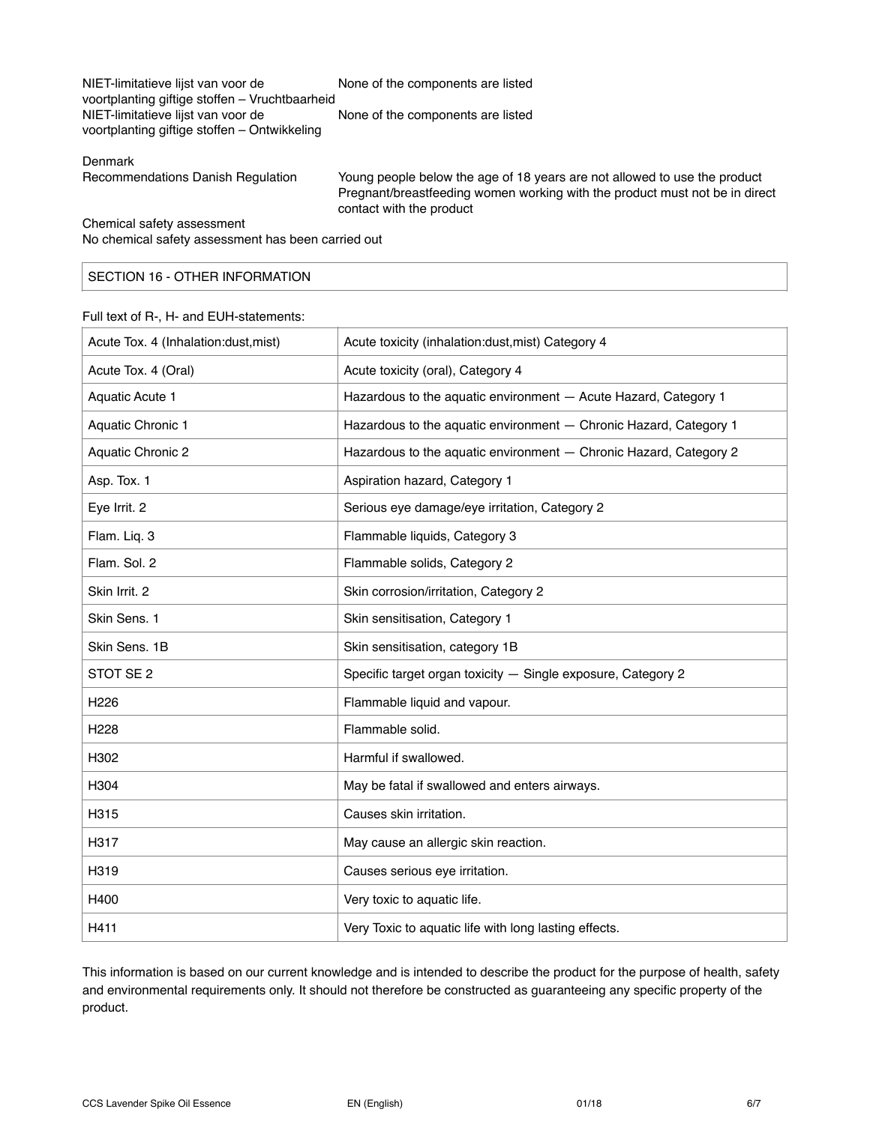| NIET-limitatieve lijst van voor de             | None of the components are listed |
|------------------------------------------------|-----------------------------------|
| voortplanting giftige stoffen - Vruchtbaarheid |                                   |
| NIET-limitatieve lijst van voor de             | None of the components are listed |
| voortplanting giftige stoffen – Ontwikkeling   |                                   |
|                                                |                                   |

#### Denmark

| Recommendations Danish Regulation |  |  |
|-----------------------------------|--|--|
|                                   |  |  |

Young people below the age of 18 years are not allowed to use the product Pregnant/breastfeeding women working with the product must not be in direct contact with the product

Chemical safety assessment No chemical safety assessment has been carried out

# SECTION 16 - OTHER INFORMATION

#### Full text of R-, H- and EUH-statements:

| Acute Tox. 4 (Inhalation:dust, mist) | Acute toxicity (inhalation:dust, mist) Category 4                 |
|--------------------------------------|-------------------------------------------------------------------|
| Acute Tox. 4 (Oral)                  | Acute toxicity (oral), Category 4                                 |
| <b>Aquatic Acute 1</b>               | Hazardous to the aquatic environment - Acute Hazard, Category 1   |
| Aquatic Chronic 1                    | Hazardous to the aquatic environment - Chronic Hazard, Category 1 |
| Aquatic Chronic 2                    | Hazardous to the aquatic environment - Chronic Hazard, Category 2 |
| Asp. Tox. 1                          | Aspiration hazard, Category 1                                     |
| Eye Irrit. 2                         | Serious eye damage/eye irritation, Category 2                     |
| Flam. Liq. 3                         | Flammable liquids, Category 3                                     |
| Flam, Sol. 2                         | Flammable solids, Category 2                                      |
| Skin Irrit. 2                        | Skin corrosion/irritation, Category 2                             |
| Skin Sens. 1                         | Skin sensitisation, Category 1                                    |
| Skin Sens, 1B                        | Skin sensitisation, category 1B                                   |
| STOT SE <sub>2</sub>                 | Specific target organ toxicity - Single exposure, Category 2      |
| H <sub>226</sub>                     | Flammable liquid and vapour.                                      |
| H <sub>228</sub>                     | Flammable solid.                                                  |
| H302                                 | Harmful if swallowed.                                             |
| H304                                 | May be fatal if swallowed and enters airways.                     |
| H315                                 | Causes skin irritation.                                           |
| H317                                 | May cause an allergic skin reaction.                              |
| H319                                 | Causes serious eye irritation.                                    |
| H400                                 | Very toxic to aquatic life.                                       |
| H411                                 | Very Toxic to aquatic life with long lasting effects.             |

This information is based on our current knowledge and is intended to describe the product for the purpose of health, safety and environmental requirements only. It should not therefore be constructed as guaranteeing any specific property of the product.